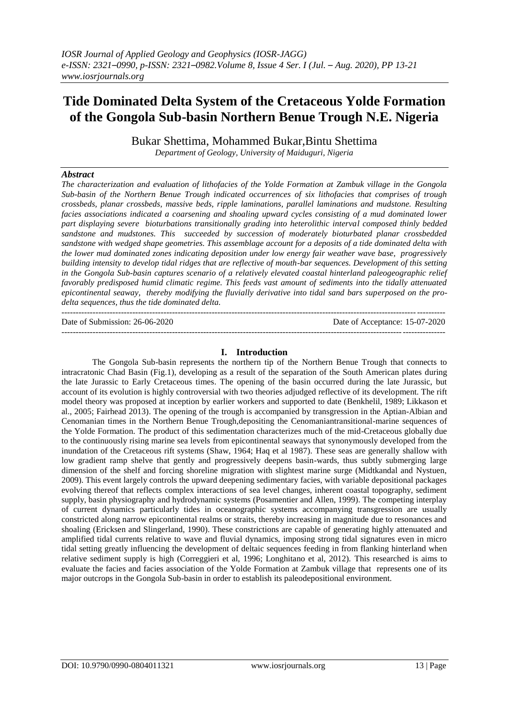# **Tide Dominated Delta System of the Cretaceous Yolde Formation of the Gongola Sub-basin Northern Benue Trough N.E. Nigeria**

Bukar Shettima, Mohammed Bukar,Bintu Shettima *Department of Geology, University of Maiduguri, Nigeria*

## *Abstract*

*The characterization and evaluation of lithofacies of the Yolde Formation at Zambuk village in the Gongola Sub-basin of the Northern Benue Trough indicated occurrences of six lithofacies that comprises of trough crossbeds, planar crossbeds, massive beds, ripple laminations, parallel laminations and mudstone. Resulting facies associations indicated a coarsening and shoaling upward cycles consisting of a mud dominated lower part displaying severe bioturbations transitionally grading into heterolithic interval composed thinly bedded sandstone and mudstones. This succeeded by succession of moderately bioturbated planar crossbedded sandstone with wedged shape geometries. This assemblage account for a deposits of a tide dominated delta with the lower mud dominated zones indicating deposition under low energy fair weather wave base, progressively building intensity to develop tidal ridges that are reflective of mouth-bar sequences. Development of this setting in the Gongola Sub-basin captures scenario of a relatively elevated coastal hinterland paleogeographic relief favorably predisposed humid climatic regime. This feeds vast amount of sediments into the tidally attenuated epicontinental seaway, thereby modifying the fluvially derivative into tidal sand bars superposed on the prodelta sequences, thus the tide dominated delta.* 

Date of Submission: 26-06-2020 Date of Acceptance: 15-07-2020 ---------------------------------------------------------------------------------------------------------------------------------------

## **I. Introduction**

---------------------------------------------------------------------------------------------------------------------------------------

The Gongola Sub-basin represents the northern tip of the Northern Benue Trough that connects to intracratonic Chad Basin (Fig.1), developing as a result of the separation of the South American plates during the late Jurassic to Early Cretaceous times. The opening of the basin occurred during the late Jurassic, but account of its evolution is highly controversial with two theories adjudged reflective of its development. The rift model theory was proposed at inception by earlier workers and supported to date (Benkhelil, 1989; Likkason et al., 2005; Fairhead 2013). The opening of the trough is accompanied by transgression in the Aptian-Albian and Cenomanian times in the Northern Benue Trough,depositing the Cenomaniantransitional-marine sequences of the Yolde Formation. The product of this sedimentation characterizes much of the mid-Cretaceous globally due to the continuously rising marine sea levels from epicontinental seaways that synonymously developed from the inundation of the Cretaceous rift systems (Shaw, 1964; Haq et al 1987). These seas are generally shallow with low gradient ramp shelve that gently and progressively deepens basin-wards, thus subtly submerging large dimension of the shelf and forcing shoreline migration with slightest marine surge (Midtkandal and Nystuen, 2009). This event largely controls the upward deepening sedimentary facies, with variable depositional packages evolving thereof that reflects complex interactions of sea level changes, inherent coastal topography, sediment supply, basin physiography and hydrodynamic systems (Posamentier and Allen, 1999). The competing interplay of current dynamics particularly tides in oceanographic systems accompanying transgression are usually constricted along narrow epicontinental realms or straits, thereby increasing in magnitude due to resonances and shoaling (Ericksen and Slingerland, 1990). These constrictions are capable of generating highly attenuated and amplified tidal currents relative to wave and fluvial dynamics, imposing strong tidal signatures even in micro tidal setting greatly influencing the development of deltaic sequences feeding in from flanking hinterland when relative sediment supply is high (Correggieri et al, 1996; Longhitano et al, 2012). This researched is aims to evaluate the facies and facies association of the Yolde Formation at Zambuk village that represents one of its major outcrops in the Gongola Sub-basin in order to establish its paleodepositional environment.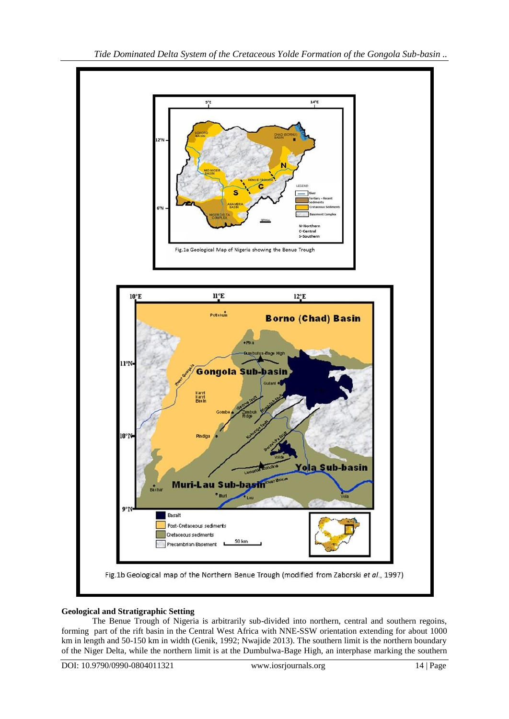

## **Geological and Stratigraphic Setting**

The Benue Trough of Nigeria is arbitrarily sub-divided into northern, central and southern regoins, forming part of the rift basin in the Central West Africa with NNE-SSW orientation extending for about 1000 km in length and 50-150 km in width (Genik, 1992; Nwajide 2013). The southern limit is the northern boundary of the Niger Delta, while the northern limit is at the Dumbulwa-Bage High, an interphase marking the southern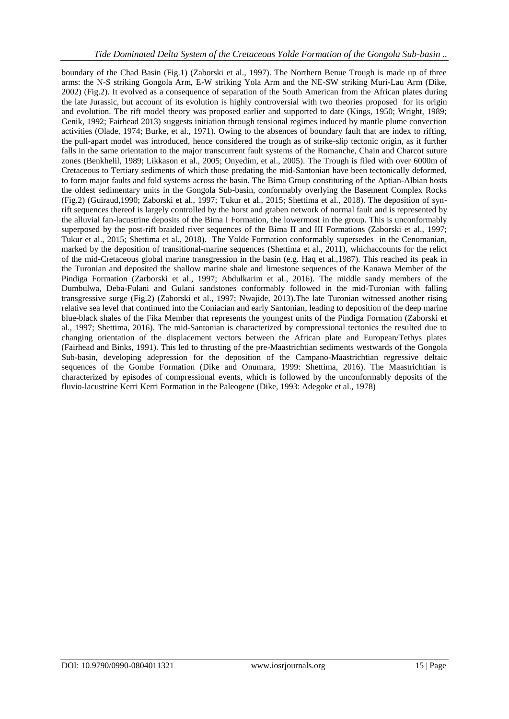boundary of the Chad Basin (Fig.1) (Zaborski et al., 1997). The Northern Benue Trough is made up of three arms: the N-S striking Gongola Arm, E-W striking Yola Arm and the NE-SW striking Muri-Lau Arm (Dike, 2002) (Fig.2). It evolved as a consequence of separation of the South American from the African plates during the late Jurassic, but account of its evolution is highly controversial with two theories proposed for its origin and evolution. The rift model theory was proposed earlier and supported to date (Kings, 1950; Wright, 1989; Genik, 1992; Fairhead 2013) suggests initiation through tensional regimes induced by mantle plume convection activities (Olade, 1974; Burke, et al., 1971). Owing to the absences of boundary fault that are index to rifting, the pull-apart model was introduced, hence considered the trough as of strike-slip tectonic origin, as it further falls in the same orientation to the major transcurrent fault systems of the Romanche, Chain and Charcot suture zones (Benkhelil, 1989; Likkason et al., 2005; Onyedim, et al., 2005). The Trough is filed with over 6000m of Cretaceous to Tertiary sediments of which those predating the mid-Santonian have been tectonically deformed, to form major faults and fold systems across the basin. The Bima Group constituting of the Aptian-Albian hosts the oldest sedimentary units in the Gongola Sub-basin, conformably overlying the Basement Complex Rocks (Fig.2) (Guiraud,1990; Zaborski et al., 1997; Tukur et al., 2015; Shettima et al., 2018). The deposition of synrift sequences thereof is largely controlled by the horst and graben network of normal fault and is represented by the alluvial fan-lacustrine deposits of the Bima I Formation, the lowermost in the group. This is unconformably superposed by the post-rift braided river sequences of the Bima II and III Formations (Zaborski et al., 1997; Tukur et al., 2015; Shettima et al., 2018). The Yolde Formation conformably supersedes in the Cenomanian, marked by the deposition of transitional-marine sequences (Shettima et al., 2011), whichaccounts for the relict of the mid-Cretaceous global marine transgression in the basin (e.g. Haq et al.,1987). This reached its peak in the Turonian and deposited the shallow marine shale and limestone sequences of the Kanawa Member of the Pindiga Formation (Zarborski et al., 1997; Abdulkarim et al., 2016). The middle sandy members of the Dumbulwa, Deba-Fulani and Gulani sandstones conformably followed in the mid-Turonian with falling transgressive surge (Fig.2) (Zaborski et al., 1997; Nwajide, 2013).The late Turonian witnessed another rising relative sea level that continued into the Coniacian and early Santonian, leading to deposition of the deep marine blue-black shales of the Fika Member that represents the youngest units of the Pindiga Formation (Zaborski et al., 1997; Shettima, 2016). The mid-Santonian is characterized by compressional tectonics the resulted due to changing orientation of the displacement vectors between the African plate and European/Tethys plates (Fairhead and Binks, 1991). This led to thrusting of the pre-Maastrichtian sediments westwards of the Gongola Sub-basin, developing adepression for the deposition of the Campano-Maastrichtian regressive deltaic sequences of the Gombe Formation (Dike and Onumara, 1999: Shettima, 2016). The Maastrichtian is characterized by episodes of compressional events, which is followed by the unconformably deposits of the fluvio-lacustrine Kerri Kerri Formation in the Paleogene (Dike, 1993: Adegoke et al., 1978)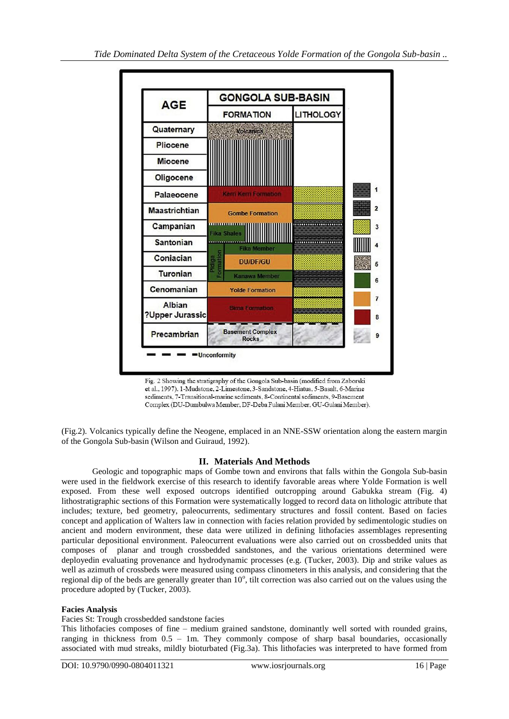

Fig. 2 Showing the stratigraphy of the Gongola Sub-basin (modified from Zaborski et al., 1997). 1-Mudstone, 2-Limestone, 3-Sandstone, 4-Hiatus, 5-Basalt, 6-Marine sediments, 7-Transitional-marine sediments, 8-Continental sediments, 9-Basement Complex (DU-Dumbulwa Member, DF-Deba Fulani Member, GU-Gulani Member).

(Fig.2). Volcanics typically define the Neogene, emplaced in an NNE-SSW orientation along the eastern margin of the Gongola Sub-basin (Wilson and Guiraud, 1992).

# **II. Materials And Methods**

Geologic and topographic maps of Gombe town and environs that falls within the Gongola Sub-basin were used in the fieldwork exercise of this research to identify favorable areas where Yolde Formation is well exposed. From these well exposed outcrops identified outcropping around Gabukka stream (Fig. 4) lithostratigraphic sections of this Formation were systematically logged to record data on lithologic attribute that includes; texture, bed geometry, paleocurrents, sedimentary structures and fossil content. Based on facies concept and application of Walters law in connection with facies relation provided by sedimentologic studies on ancient and modern environment, these data were utilized in defining lithofacies assemblages representing particular depositional environment. Paleocurrent evaluations were also carried out on crossbedded units that composes of planar and trough crossbedded sandstones, and the various orientations determined were deployedin evaluating provenance and hydrodynamic processes (e.g. (Tucker, 2003). Dip and strike values as well as azimuth of crossbeds were measured using compass clinometers in this analysis, and considering that the regional dip of the beds are generally greater than 10°, tilt correction was also carried out on the values using the procedure adopted by (Tucker, 2003).

## **Facies Analysis**

#### Facies St: Trough crossbedded sandstone facies

This lithofacies composes of fine – medium grained sandstone, dominantly well sorted with rounded grains, ranging in thickness from 0.5 – 1m. They commonly compose of sharp basal boundaries, occasionally associated with mud streaks, mildly bioturbated (Fig.3a). This lithofacies was interpreted to have formed from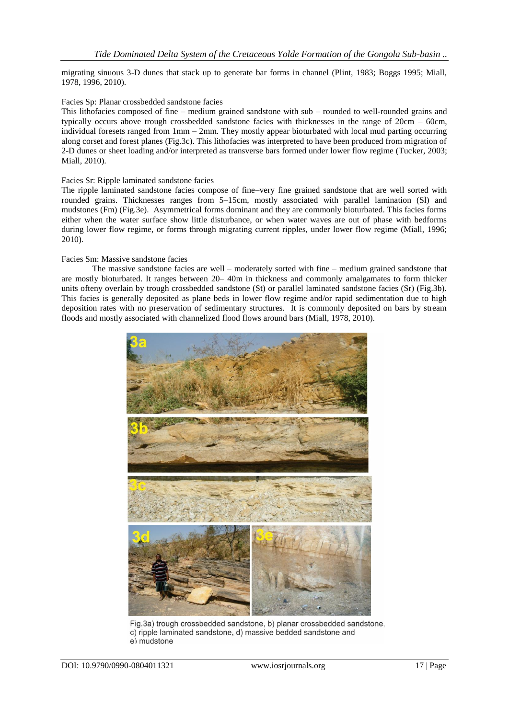migrating sinuous 3-D dunes that stack up to generate bar forms in channel (Plint, 1983; Boggs 1995; Miall, 1978, 1996, 2010).

#### Facies Sp: Planar crossbedded sandstone facies

This lithofacies composed of fine – medium grained sandstone with sub – rounded to well-rounded grains and typically occurs above trough crossbedded sandstone facies with thicknesses in the range of 20cm – 60cm, individual foresets ranged from  $1 \text{mm} - 2 \text{mm}$ . They mostly appear bioturbated with local mud parting occurring along corset and forest planes (Fig.3c). This lithofacies was interpreted to have been produced from migration of 2-D dunes or sheet loading and/or interpreted as transverse bars formed under lower flow regime (Tucker, 2003; Miall, 2010).

#### Facies Sr: Ripple laminated sandstone facies

The ripple laminated sandstone facies compose of fine–very fine grained sandstone that are well sorted with rounded grains. Thicknesses ranges from 5–15cm, mostly associated with parallel lamination (Sl) and mudstones (Fm) (Fig.3e). Asymmetrical forms dominant and they are commonly bioturbated. This facies forms either when the water surface show little disturbance, or when water waves are out of phase with bedforms during lower flow regime, or forms through migrating current ripples, under lower flow regime (Miall, 1996; 2010).

#### Facies Sm: Massive sandstone facies

The massive sandstone facies are well – moderately sorted with fine – medium grained sandstone that are mostly bioturbated. It ranges between 20– 40m in thickness and commonly amalgamates to form thicker units ofteny overlain by trough crossbedded sandstone (St) or parallel laminated sandstone facies (Sr) (Fig.3b). This facies is generally deposited as plane beds in lower flow regime and/or rapid sedimentation due to high deposition rates with no preservation of sedimentary structures. It is commonly deposited on bars by stream floods and mostly associated with channelized flood flows around bars (Miall, 1978, 2010).



Fig.3a) trough crossbedded sandstone, b) planar crossbedded sandstone. c) ripple laminated sandstone, d) massive bedded sandstone and e) mudstone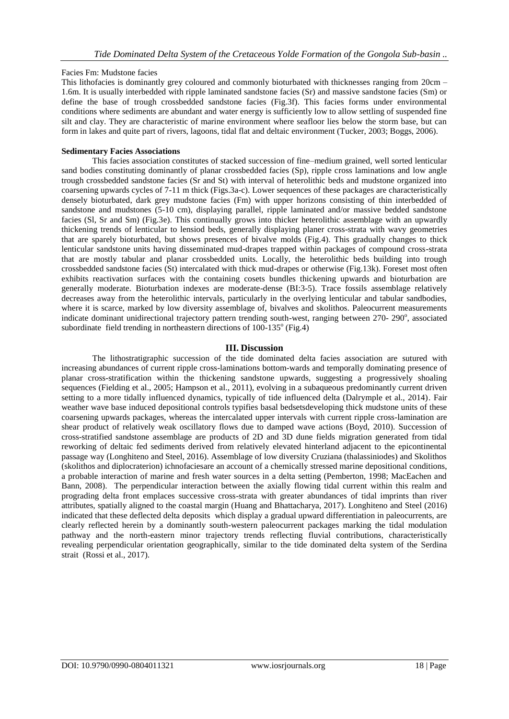## Facies Fm: Mudstone facies

This lithofacies is dominantly grey coloured and commonly bioturbated with thicknesses ranging from 20cm – 1.6m. It is usually interbedded with ripple laminated sandstone facies (Sr) and massive sandstone facies (Sm) or define the base of trough crossbedded sandstone facies (Fig.3f). This facies forms under environmental conditions where sediments are abundant and water energy is sufficiently low to allow settling of suspended fine silt and clay. They are characteristic of marine environment where seafloor lies below the storm base, but can form in lakes and quite part of rivers, lagoons, tidal flat and deltaic environment (Tucker, 2003; Boggs, 2006).

## **Sedimentary Facies Associations**

This facies association constitutes of stacked succession of fine–medium grained, well sorted lenticular sand bodies constituting dominantly of planar crossbedded facies (Sp), ripple cross laminations and low angle trough crossbedded sandstone facies (Sr and St) with interval of heterolithic beds and mudstone organized into coarsening upwards cycles of 7-11 m thick (Figs.3a-c). Lower sequences of these packages are characteristically densely bioturbated, dark grey mudstone facies (Fm) with upper horizons consisting of thin interbedded of sandstone and mudstones (5-10 cm), displaying parallel, ripple laminated and/or massive bedded sandstone facies (Sl, Sr and Sm) (Fig.3e). This continually grows into thicker heterolithic assemblage with an upwardly thickening trends of lenticular to lensiod beds, generally displaying planer cross-strata with wavy geometries that are sparely bioturbated, but shows presences of bivalve molds (Fig.4). This gradually changes to thick lenticular sandstone units having disseminated mud-drapes trapped within packages of compound cross-strata that are mostly tabular and planar crossbedded units. Locally, the heterolithic beds building into trough crossbedded sandstone facies (St) intercalated with thick mud-drapes or otherwise (Fig.13k). Foreset most often exhibits reactivation surfaces with the containing cosets bundles thickening upwards and bioturbation are generally moderate. Bioturbation indexes are moderate-dense (BI:3-5). Trace fossils assemblage relatively decreases away from the heterolithic intervals, particularly in the overlying lenticular and tabular sandbodies, where it is scarce, marked by low diversity assemblage of, bivalves and skolithos. Paleocurrent measurements indicate dominant unidirectional trajectory pattern trending south-west, ranging between 270- 290°, associated subordinate field trending in northeastern directions of  $100$ - $135^\circ$  (Fig.4)

## **III. Discussion**

The lithostratigraphic succession of the tide dominated delta facies association are sutured with increasing abundances of current ripple cross-laminations bottom-wards and temporally dominating presence of planar cross-stratification within the thickening sandstone upwards, suggesting a progressively shoaling sequences (Fielding et al., 2005; Hampson et al., 2011), evolving in a subaqueous predominantly current driven setting to a more tidally influenced dynamics, typically of tide influenced delta (Dalrymple et al., 2014). Fair weather wave base induced depositional controls typifies basal bedsetsdeveloping thick mudstone units of these coarsening upwards packages, whereas the intercalated upper intervals with current ripple cross-lamination are shear product of relatively weak oscillatory flows due to damped wave actions (Boyd, 2010). Succession of cross-stratified sandstone assemblage are products of 2D and 3D dune fields migration generated from tidal reworking of deltaic fed sediments derived from relatively elevated hinterland adjacent to the epicontinental passage way (Longhiteno and Steel, 2016). Assemblage of low diversity Cruziana (thalassiniodes) and Skolithos (skolithos and diplocraterion) ichnofaciesare an account of a chemically stressed marine depositional conditions, a probable interaction of marine and fresh water sources in a delta setting (Pemberton, 1998; MacEachen and Bann, 2008). The perpendicular interaction between the axially flowing tidal current within this realm and prograding delta front emplaces successive cross-strata with greater abundances of tidal imprints than river attributes, spatially aligned to the coastal margin (Huang and Bhattacharya, 2017). Longhiteno and Steel (2016) indicated that these deflected delta deposits which display a gradual upward differentiation in paleocurrents, are clearly reflected herein by a dominantly south-western paleocurrent packages marking the tidal modulation pathway and the north-eastern minor trajectory trends reflecting fluvial contributions, characteristically revealing perpendicular orientation geographically, similar to the tide dominated delta system of the Serdina strait (Rossi et al., 2017).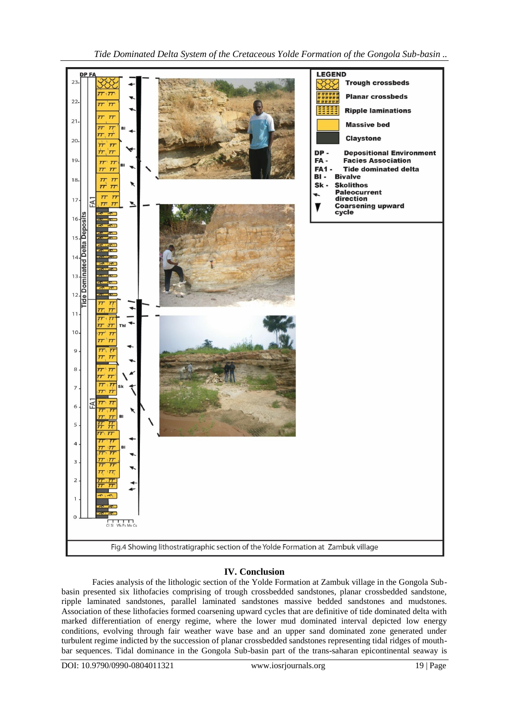

# **IV. Conclusion**

Facies analysis of the lithologic section of the Yolde Formation at Zambuk village in the Gongola Subbasin presented six lithofacies comprising of trough crossbedded sandstones, planar crossbedded sandstone, ripple laminated sandstones, parallel laminated sandstones massive bedded sandstones and mudstones. Association of these lithofacies formed coarsening upward cycles that are definitive of tide dominated delta with marked differentiation of energy regime, where the lower mud dominated interval depicted low energy conditions, evolving through fair weather wave base and an upper sand dominated zone generated under turbulent regime indicted by the succession of planar crossbedded sandstones representing tidal ridges of mouthbar sequences. Tidal dominance in the Gongola Sub-basin part of the trans-saharan epicontinental seaway is

DOI: 10.9790/0990-0804011321 www.iosrjournals.org 19 | Page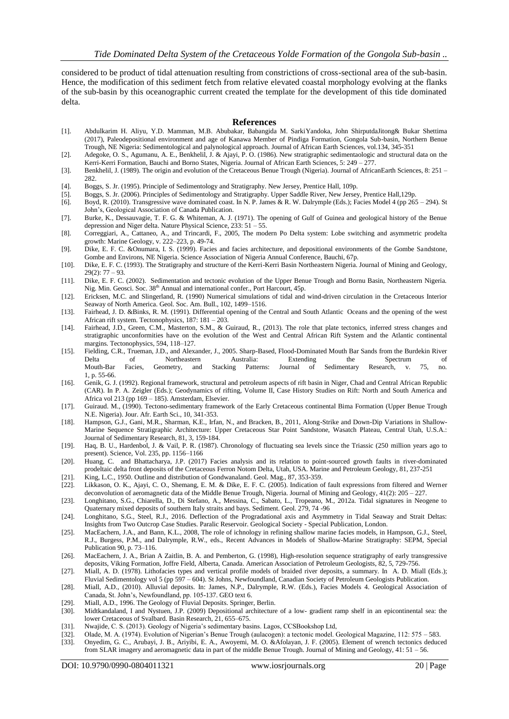considered to be product of tidal attenuation resulting from constrictions of cross-sectional area of the sub-basin. Hence, the modification of this sediment fetch from relative elevated coastal morphology evolving at the flanks of the sub-basin by this oceanographic current created the template for the development of this tide dominated delta.

#### **References**

- [1]. Abdulkarim H. Aliyu, Y.D. Mamman, M.B. Abubakar, Babangida M. SarkiYandoka, John ShirputdaJitong& Bukar Shettima (2017), Paleodepositional environment and age of Kanawa Member of Pindiga Formation, Gongola Sub-basin, Northern Benue Trough, NE Nigeria: Sedimentological and palynological approach. Journal of African Earth Sciences, vol.134, 345-351
- [2]. Adegoke, O. S., Agumanu, A. E., Benkhelil, J. & Ajayi, P. O. (1986). New stratigraphic sedimentaologic and structural data on the Kerri-Kerri Formation, Bauchi and Borno States, Nigeria. Journal of African Earth Sciences, 5: 249 – 277.
- [3]. Benkhelil, J. (1989). The origin and evolution of the Cretaceous Benue Trough (Nigeria). Journal of AfricanEarth Sciences, 8: 251 282.
- [4]. Boggs, S. Jr. (1995). Principle of Sedimentology and Stratigraphy. New Jersey, Prentice Hall, 109p.
- [5]. Boggs, S. Jr. (2006). Principles of Sedimentology and Stratigraphy. Upper Saddle River, New Jersey, Prentice Hall,129p.
- [6]. Boyd, R. (2010). Transgressive wave dominated coast. In N. P. James & R. W. Dalrymple (Eds.); Facies Model 4 (pp 265 294). St John's, Geological Association of Canada Publication.
- [7]. Burke, K., Dessauvagie, T. F. G. & Whiteman, A. J. (1971). The opening of Gulf of Guinea and geological history of the Benue depression and Niger delta. Nature Physical Science, 233: 51 – 55.
- [8]. Correggiari, A., Cattaneo, A., and Trincardi, F., 2005, The modern Po Delta system: Lobe switching and asymmetric prodelta growth: Marine Geology, v. 222–223, p. 49-74.
- [9]. Dike, E. F. C. &Onumara, I. S. (1999). Facies and facies architecture, and depositional environments of the Gombe Sandstone, Gombe and Environs, NE Nigeria. Science Association of Nigeria Annual Conference, Bauchi, 67p.
- [10]. Dike, E. F. C. (1993). The Stratigraphy and structure of the Kerri-Kerri Basin Northeastern Nigeria. Journal of Mining and Geology, 29(2): 77 – 93.
- [11]. Dike, E. F. C. (2002). Sedimentation and tectonic evolution of the Upper Benue Trough and Bornu Basin, Northeastern Nigeria. Nig. Min. Geosci. Soc. 38<sup>th</sup> Annual and international confer., Port Harcourt, 45p.
- [12]. Ericksen, M.C. and Slingerland, R. (1990) Numerical simulations of tidal and wind-driven circulation in the Cretaceous Interior Seaway of North America. Geol. Soc. Am. Bull., 102, 1499–1516.
- [13]. Fairhead, J. D. &Binks, R. M. (1991). Differential opening of the Central and South Atlantic Oceans and the opening of the west African rift system. Tectonophysics, 187: 181 – 203.
- [14]. Fairhead, J.D., Green, C.M., Masterton, S.M., & Guiraud, R., (2013). The role that plate tectonics, inferred stress changes and stratigraphic unconformities have on the evolution of the West and Central African Rift System and the Atlantic continental margins. Tectonophysics, 594, 118–127.
- [15]. Fielding, C.R., Trueman, J.D., and Alexander, J., 2005. Sharp-Based, Flood-Dominated Mouth Bar Sands from the Burdekin River Delta of Northeastern Australia: Extending the Spectrum of Mouth-Bar Facies, Geometry, and Stacking Patterns: Journal of Sedimentary Research, v. 75, no. 1, p. 55-66.
- [16]. Genik, G. J. (1992). Regional framework, structural and petroleum aspects of rift basin in Niger, Chad and Central African Republic (CAR). In P. A. Zeigler (Eds.); Geodynamics of rifting, Volume II, Case History Studies on Rift: North and South America and Africa vol 213 (pp 169 – 185). Amsterdam, Elsevier.
- [17]. Guiraud. M., (1990). Tectono-sedimentary framework of the Early Cretaceous continental Bima Formation (Upper Benue Trough N.E. Nigeria). Jour. Afr. Earth Sci., 10, 341-353.
- [18]. Hampson, G.J., Gani, M.R., Sharman, K.E., Irfan, N., and Bracken, B., 2011, Along-Strike and Down-Dip Variations in Shallow-Marine Sequence Stratigraphic Architecture: Upper Cretaceous Star Point Sandstone, Wasatch Plateau, Central Utah, U.S.A.: Journal of Sedimentary Research, 81, 3, 159-184.
- [19]. Haq, B. U., Hardenbol, J. & Vail, P. R. (1987). Chronology of fluctuating sea levels since the Triassic (250 million years ago to present). Science, Vol. 235, pp. 1156–1166
- [20]. [Huang,](https://www.sciencedirect.com/science/article/abs/pii/S0264817217300260#!) C. [and Bhattacharya,](https://www.sciencedirect.com/science/article/abs/pii/S0264817217300260#!) J.P. (2017) Facies analysis and its relation to point-sourced growth faults in river-dominated prodeltaic delta front deposits of the Cretaceous Ferron Notom Delta, Utah, USA[. Marine and Petroleum Geology,](https://www.sciencedirect.com/science/journal/02648172) 81, 237-251
- [21]. King, L.C., 1950. Outline and distribution of Gondwanaland. Geol. Mag., 87, 353-359.
- [22]. Likkason, O. K., Ajayi, C. O., Shemang, E. M. & Dike, E. F. C. (2005). Indication of fault expressions from filtered and Werner deconvolution of aeromagnetic data of the Middle Benue Trough, Nigeria. Journal of Mining and Geology, 41(2): 205 – 227.
- [23]. Longhitano, S.G., Chiarella, D., Di Stefano, A., Messina, C., Sabato, L., Tropeano, M., 2012a. Tidal signatures in Neogene to Quaternary mixed deposits of southern Italy straits and bays. Sediment. Geol. 279, 74 -96
- [24]. Longhitano, S.G., Steel, R.J., 2016. Deflection of the Progradational axis and Asymmetry in Tidal Seaway and Strait Deltas: Insights from Two Outcrop Case Studies. Paralic Reservoir. Geological Society - Special Publication, London.
- [25]. MacEachern, J.A., and Bann, K.L., 2008, The role of ichnology in refining shallow marine facies models, in Hampson, G.J., Steel, R.J., Burgess, P.M., and Dalrymple, R.W., eds., Recent Advances in Models of Shallow-Marine Stratigraphy: SEPM, Special Publication 90, p. 73–116.
- [26]. MacEachern, J. A., Brian A Zaitlin, B. A. and Pemberton, G. (1998), [High-resolution sequence stratigraphy of early transgressive](http://archives.datapages.com/data/doi/10.1306/1D9BC5E3-172D-11D7-8645000102C1865D)  [deposits, Viking Formation, Joffre Field, Alberta, Canada.](http://archives.datapages.com/data/doi/10.1306/1D9BC5E3-172D-11D7-8645000102C1865D) American Association of Petroleum Geologists, 82, 5, 729-756.
- [27]. Miall, A. D. (1978). Lithofacies types and vertical profile models of braided river deposits, a summary. In A. D. Miall (Eds.); Fluvial Sedimentology vol 5 (pp 597 – 604). St Johns, Newfoundland, Canadian Society of Petroleum Geologists Publication.
- [28]. Miall, A.D., (2010). Alluvial deposits. In: James, N.P., Dalrymple, R.W. (Eds.), Facies Models 4. Geological Association of Canada, St. John's, Newfoundland, pp. 105-137. GEO text 6.
- [29]. Miall, A.D., 1996. The Geology of Fluvial Deposits. Springer, Berlin.
- [30]. Midtkandaland, I and Nystuen, J.P. (2009) Depositional architecture of a low- gradient ramp shelf in an epicontinental sea: the lower Cretaceous of Svalbard. Basin Research, 21, 655–675.
- [31]. Nwajide, C. S. (2013). Geology of Nigeria's sedimentary basins. Lagos, CCSBookshop Ltd,
- [32]. Olade, M. A. (1974). Evolution of Nigerian's Benue Trough (aulacogen): a tectonic model. Geological Magazine, 112: 575 583.
- [33]. Onyedim, G. C., Arubayi, J. B., Ariyibi, E. A., Awoyemi, M. O. &Afolayan, J. F. (2005). Element of wrench tectonics deduced from SLAR imagery and aeromagnetic data in part of the middle Benue Trough. Journal of Mining and Geology, 41: 51 – 56.